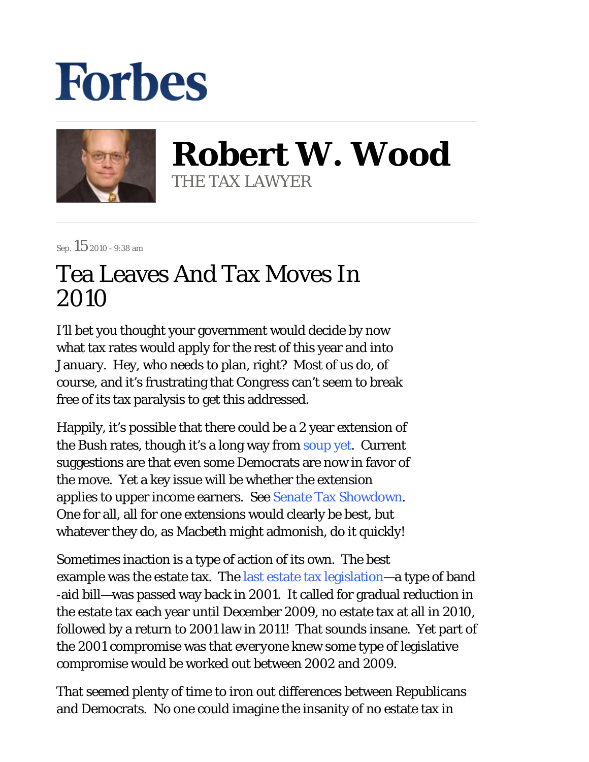## **Forbes**



**Robert W. Wood** THE TAX LAWYER

Sep.  $15$  2010 - 9:38 am

## Tea Leaves And Tax Moves In 2010

I'll bet you thought your government would decide by now what tax rates would apply for the rest of this year and into January. Hey, who needs to plan, right? Most of us do, of course, and it's frustrating that Congress can't seem to break free of its tax paralysis to get this addressed.

Happily, it's possible that there could be a 2 year extension of the Bush rates, though it's a long way from soup yet. Current suggestions are that even some Democrats are now in favor of the move. Yet a key issue will be whether the extension applies to upper income earners. See Senate Tax Showdown. One for all, all for one extensions would clearly be best, but whatever they do, as Macbeth might admonish, do it quickly!

Sometimes inaction is a type of action of its own. The best example was the estate tax. The last estate tax legislation—a type of band -aid bill—was passed way back in 2001. It called for gradual reduction in the estate tax each year until December 2009, no estate tax at all in 2010, followed by a return to 2001 law in 2011! That sounds insane. Yet part of the 2001 compromise was that *everyone* knew some type of legislative compromise would be worked out between 2002 and 2009.

That *seemed* plenty of time to iron out differences between Republicans and Democrats. No one could imagine the insanity of no estate tax in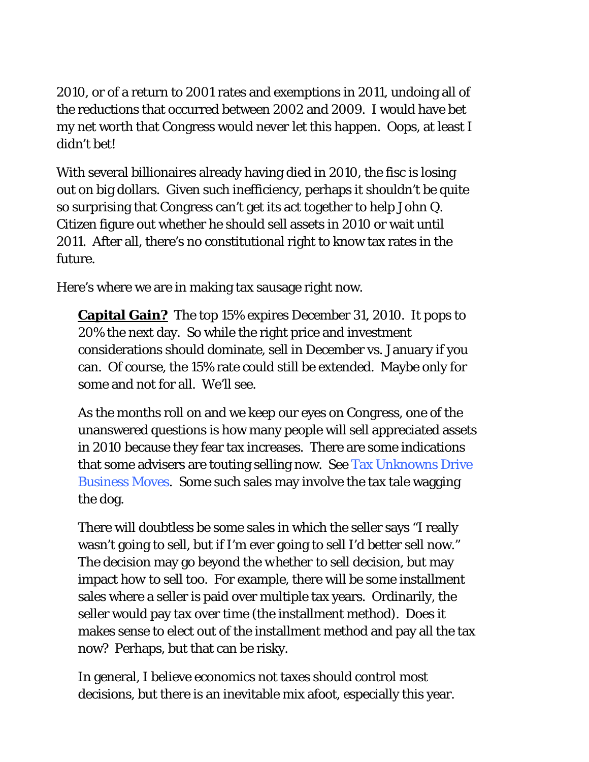2010, or of a return to 2001 rates and exemptions in 2011, undoing all of the reductions that occurred between 2002 and 2009. I would have bet my net worth that Congress would *never* let this happen. Oops, at least I didn't bet!

With several billionaires already having died in 2010, the fisc is losing out on big dollars. Given such inefficiency, perhaps it shouldn't be quite so surprising that Congress can't get its act together to help John Q. Citizen figure out whether he should sell assets in 2010 or wait until 2011. After all, there's no constitutional right to know tax rates in the future.

Here's where we are in making tax sausage right now.

**Capital Gain?** The top 15% expires December 31, 2010. It pops to 20% the next day. So while the right price and investment considerations should dominate, sell in December vs. January if you can. Of course, the 15% rate could still be extended. Maybe only for some and not for all. We'll see.

As the months roll on and we keep our eyes on Congress, one of the unanswered questions is how many people will sell appreciated assets in 2010 because they fear tax increases. There are some indications that some advisers are touting selling now. See Tax Unknowns Drive Business Moves. Some such sales may involve the tax tale wagging the dog.

There will doubtless be some sales in which the seller says "I really wasn't going to sell, but if I'm ever going to sell I'd better sell now." The decision may go beyond the *whether* to sell decision, but may impact *how* to sell too. For example, there will be some installment sales where a seller is paid over multiple tax years. Ordinarily, the seller would pay tax over time (the installment method). Does it makes sense to elect out of the installment method and pay all the tax now? Perhaps, but that can be risky.

In general, I believe economics not taxes should control most decisions, but there is an inevitable mix afoot, especially this year.